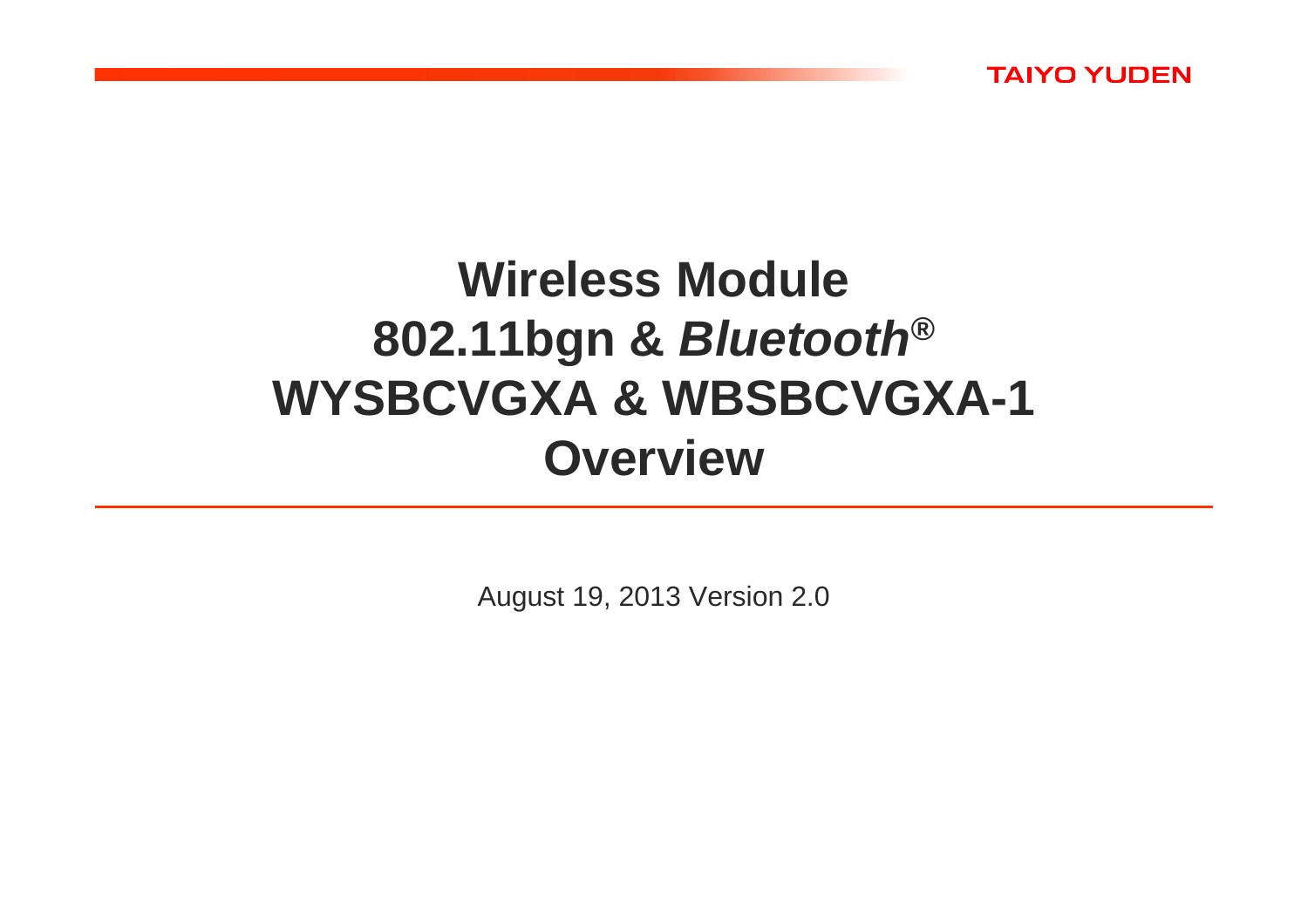

# **Wireless Module 802.11bgn & Bluetooth® WYSBCVGXA & WBSBCVGXA-1Overview**

August 19, 2013 Version 2.0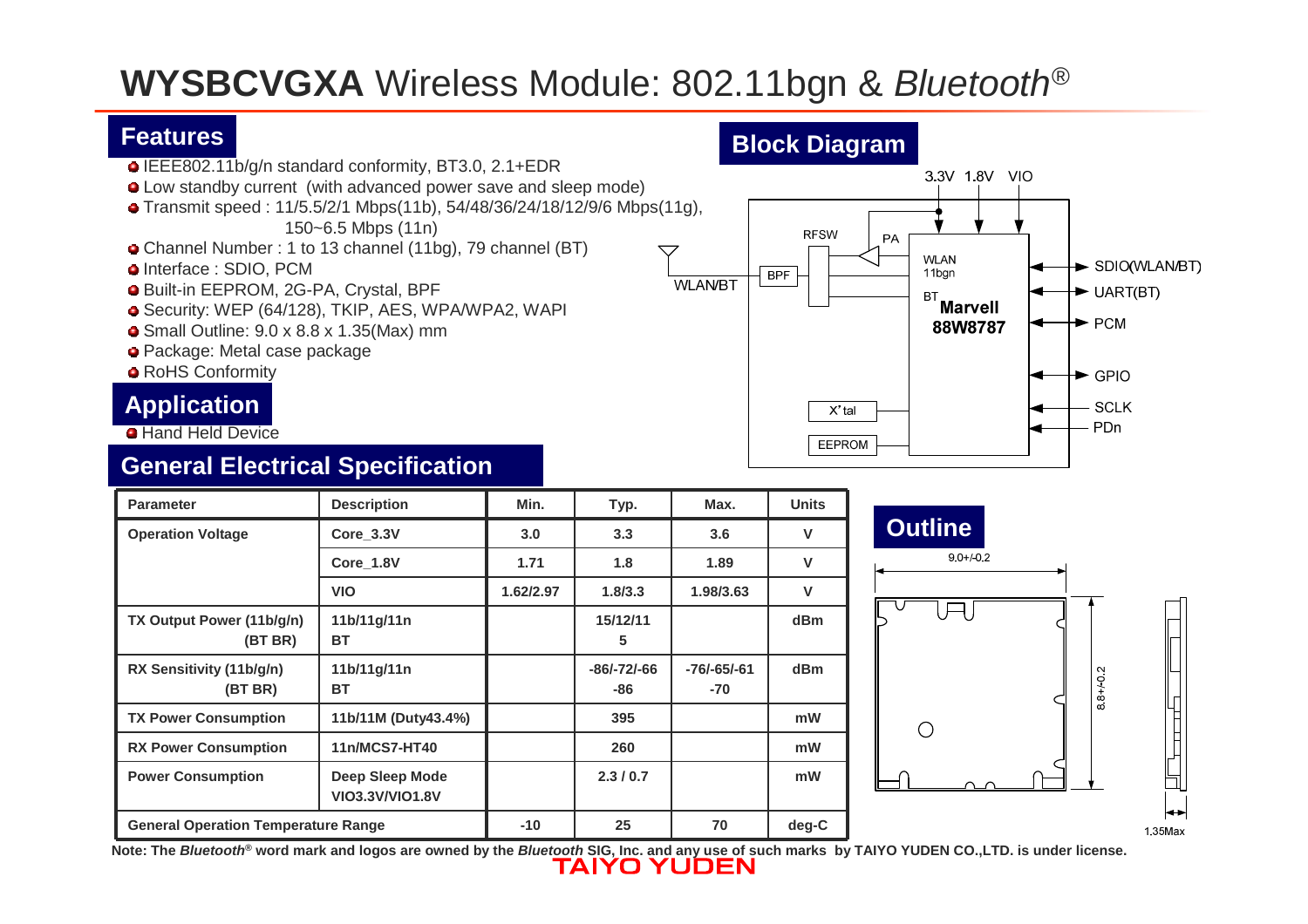# **WYSBCVGXA** Wireless Module: 802.11bgn & Bluetooth®

#### **Features**

- IEEE802.11b/g/n standard conformity, BT3.0, 2.1+EDR
- Low standby current (with advanced power save and sleep mode)
- Transmit speed : 11/5.5/2/1 Mbps(11b), 54/48/36/24/18/12/9/6 Mbps(11g), 150~6.5 Mbps (11n)
- Channel Number : 1 to 13 channel (11bg), 79 channel (BT)
- **o** Interface : SDIO, PCM
- Built-in EEPROM, 2G-PA, Crystal, BPF
- Security: WEP (64/128), TKIP, AES, WPA/WPA2, WAPI

**11b/11g/11n**

**11b/11g/11n**

**VIO3.3V/VIO1.8V**

**BT**

**BT**

- Small Outline: 9.0 x 8.8 x 1.35(Max) mm
- Package: Metal case package
- **RoHS Conformity**

#### **Application**

Hand Held Device

**TX Output Power (11b/g/n)**

**RX Sensitivity (11b/g/n)**

**(BT BR)**

**Power Consumption** | Deep Sleep Mode

**(BT BR)**

#### **General Electrical Specification**



X' tal

**EEPROM** 

88W8787

 $\rightarrow$  GPIO

**SCLK** 

PDn



**Note: The Bluetooth® word mark and logos are owned by the Bluetooth SIG, Inc. and any use of such marks by TAIYO YUDEN CO.,LTD. is under license.**

**15/12/115**

**-86/-72/-66-86**

**-76/-65/-61-70**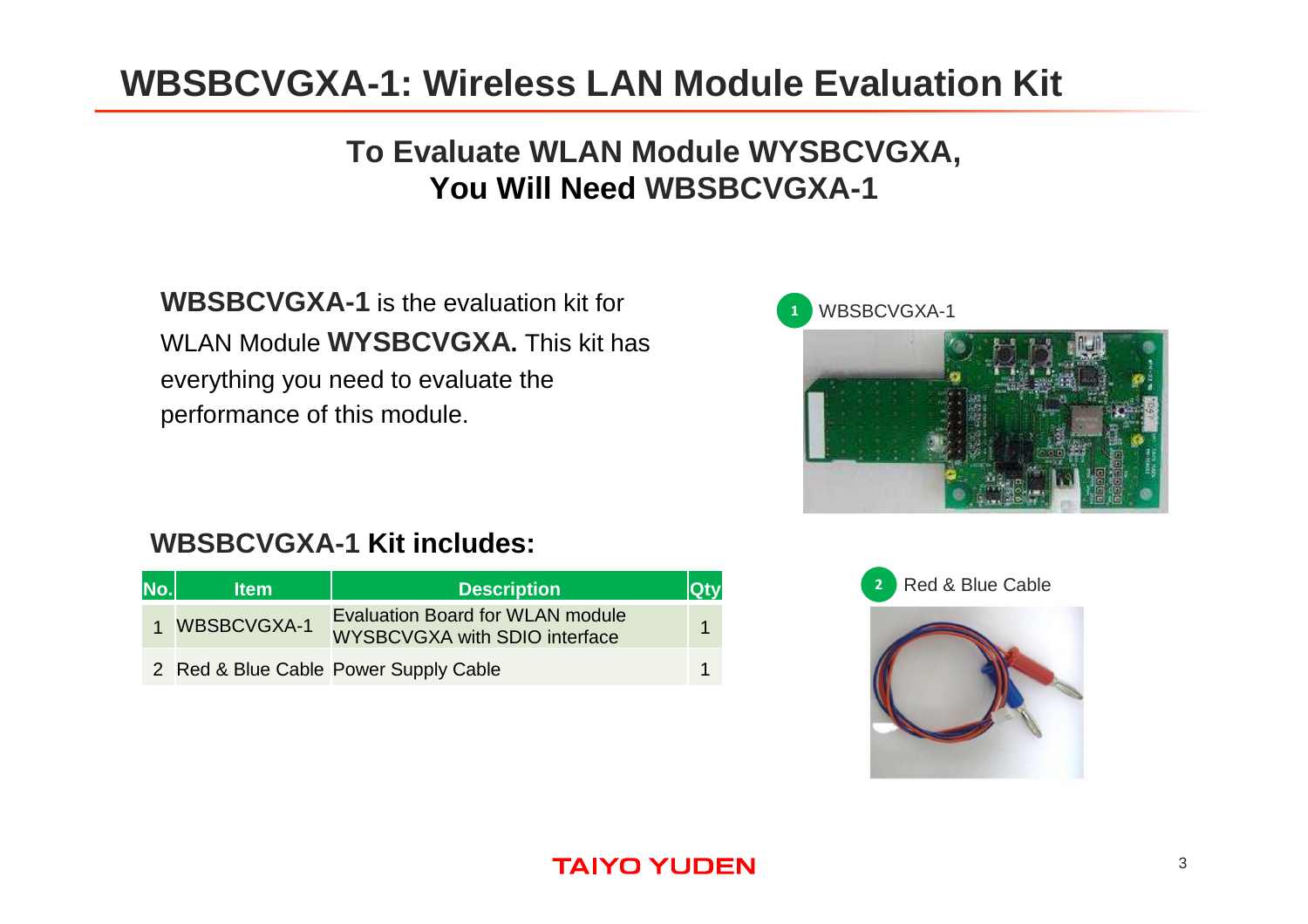### **WBSBCVGXA-1: Wireless LAN Module Evaluation Kit**

### **To Evaluate WLAN Module WYSBCVGXA,You Will Need WBSBCVGXA-1**

**WBSBCVGXA-1** is the evaluation kit for WLAN Module **WYSBCVGXA.** This kit has everything you need to evaluate the performance of this module.



### **WBSBCVGXA-1 Kit includes:**

| No. | <b>Item</b>   | <b>Description</b>                                                       | <b>Qtv</b> |
|-----|---------------|--------------------------------------------------------------------------|------------|
|     | 1 WBSBCVGXA-1 | <b>Evaluation Board for WLAN module</b><br>WYSBCVGXA with SDIO interface |            |
|     |               | 2 Red & Blue Cable Power Supply Cable                                    |            |



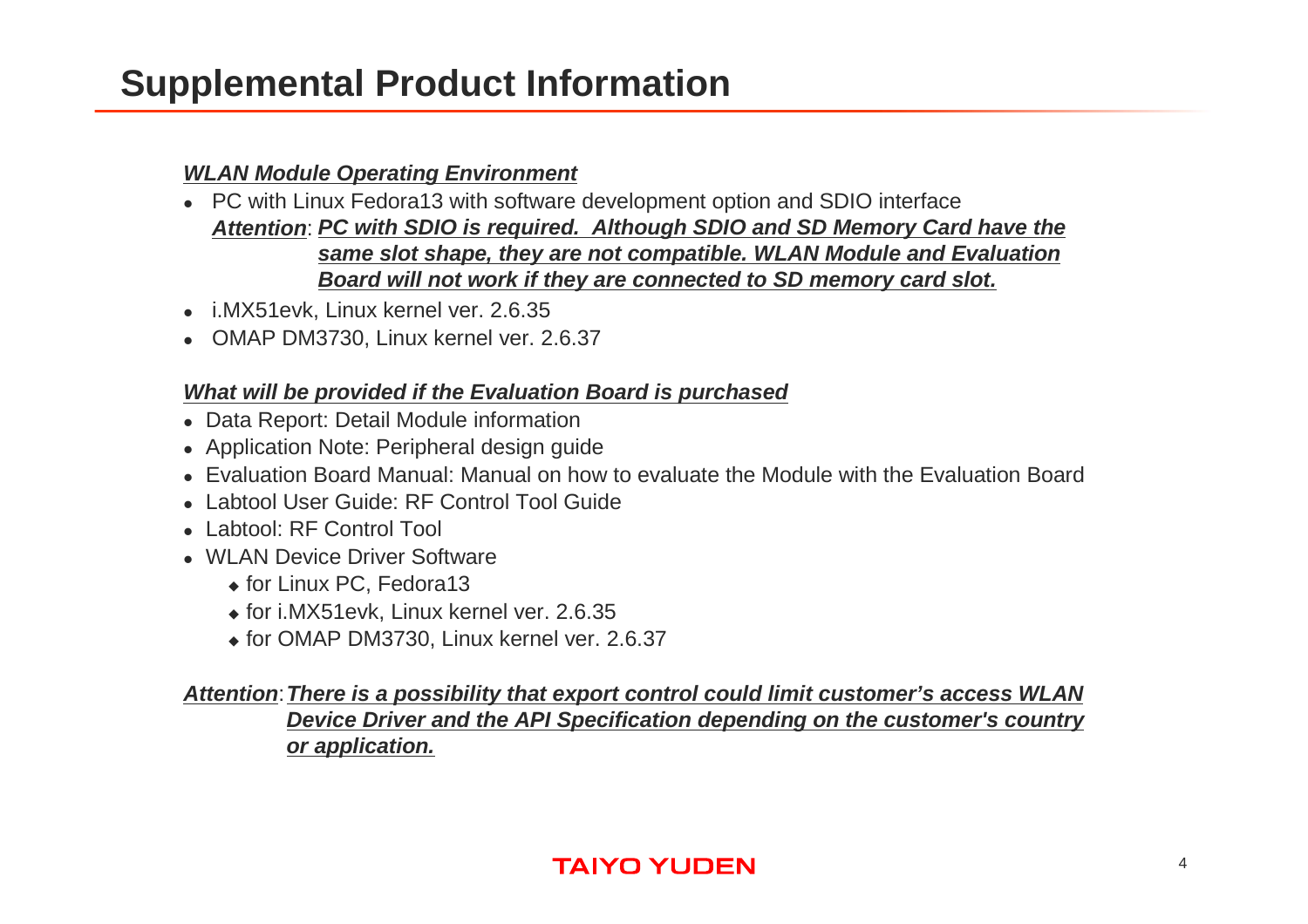### **Supplemental Product Information**

#### **WLAN Module Operating Environment**

- PC with Linux Fedora13 with software development option and SDIO interface **Attention**:**PC with SDIO is required. Although SDIO and SD Memory Card have the same slot shape, they are not compatible. WLAN Module and Evaluation Board will not work if they are connected to SD memory card slot.**
- i.MX51evk, Linux kernel ver. 2.6.35
- OMAP DM3730, Linux kernel ver. 2.6.37

#### **What will be provided if the Evaluation Board is purchased**

- Data Report: Detail Module information
- Application Note: Peripheral design guide
- Evaluation Board Manual: Manual on how to evaluate the Module with the Evaluation Board
- Labtool User Guide: RF Control Tool Guide
- Labtool: RF Control Tool
- WLAN Device Driver Software
	- ◆ for Linux PC, Fedora13
	- $\bullet$  for i.MX51evk, Linux kernel ver. 2.6.35
	- for OMAP DM3730, Linux kernel ver. 2.6.37

#### **Attention**:**There is a possibility that export control could limit customer's access WLAN Device Driver and the API Specification depending on the customer's country or application.**

#### **TAIYO YUDEN**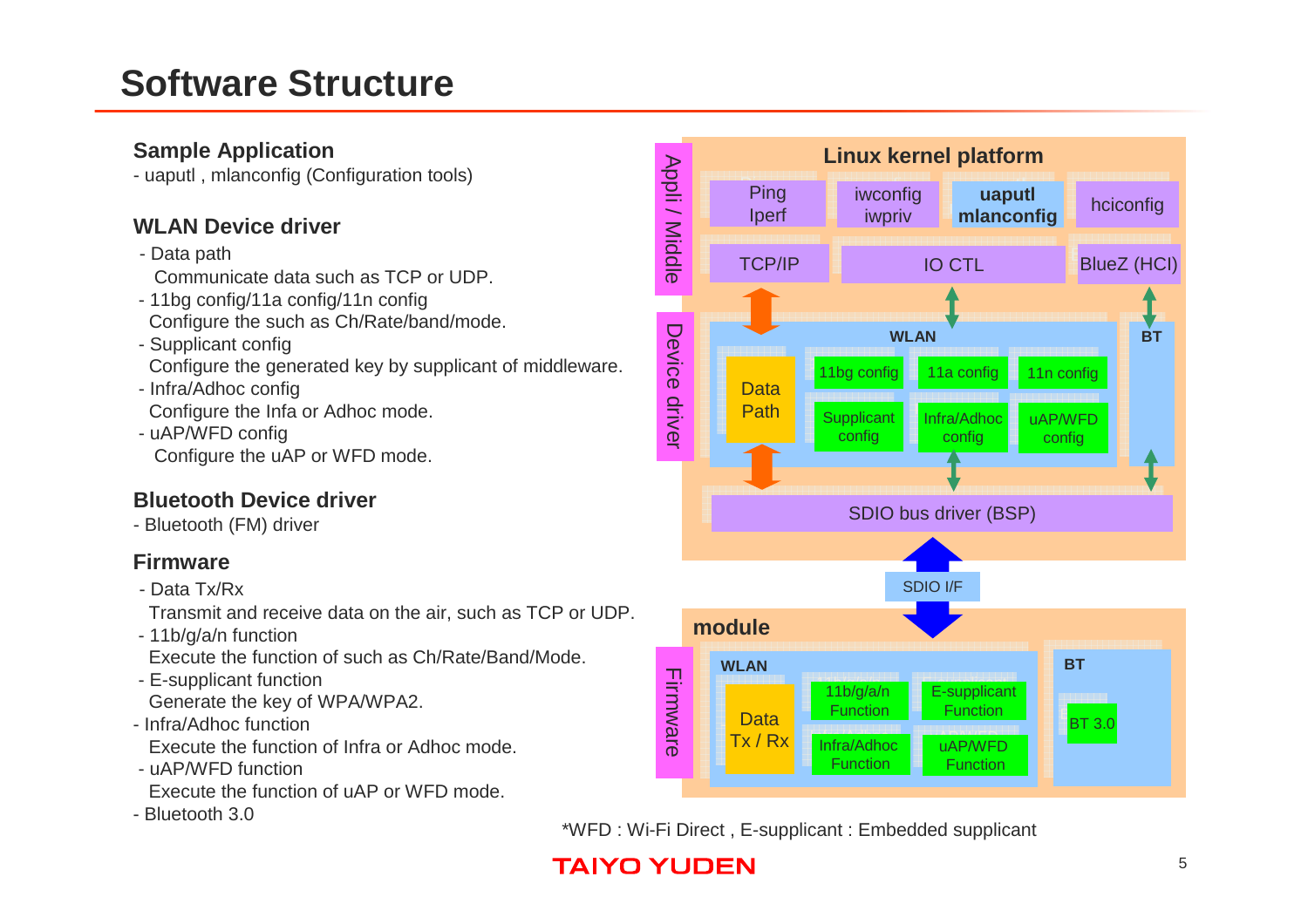### **Software Structure**

#### **Sample Application**

- uaputl , mlanconfig (Configuration tools)

#### **WLAN Device driver**

- Data path

Communicate data such as TCP or UDP.

- 11bg config/11a config/11n configConfigure the such as Ch/Rate/band/mode.
- Supplicant config

Configure the generated key by supplicant of middleware.

- Infra/Adhoc configConfigure the Infa or Adhoc mode.
- uAP/WFD configConfigure the uAP or WFD mode.

#### **Bluetooth Device driver**

- Bluetooth (FM) driver

#### **Firmware**

- Data Tx/Rx

Transmit and receive data on the air, such as TCP or UDP.

- 11b/g/a/n function

Execute the function of such as Ch/Rate/Band/Mode.

- E-supplicant function

Generate the key of WPA/WPA2.

- Infra/Adhoc function

Execute the function of Infra or Adhoc mode.

- uAP/WFD function
- Execute the function of uAP or WFD mode.
- Bluetooth 3.0



\*WFD : Wi-Fi Direct , E-supplicant : Embedded supplicant

### **TAIYO YUDEN**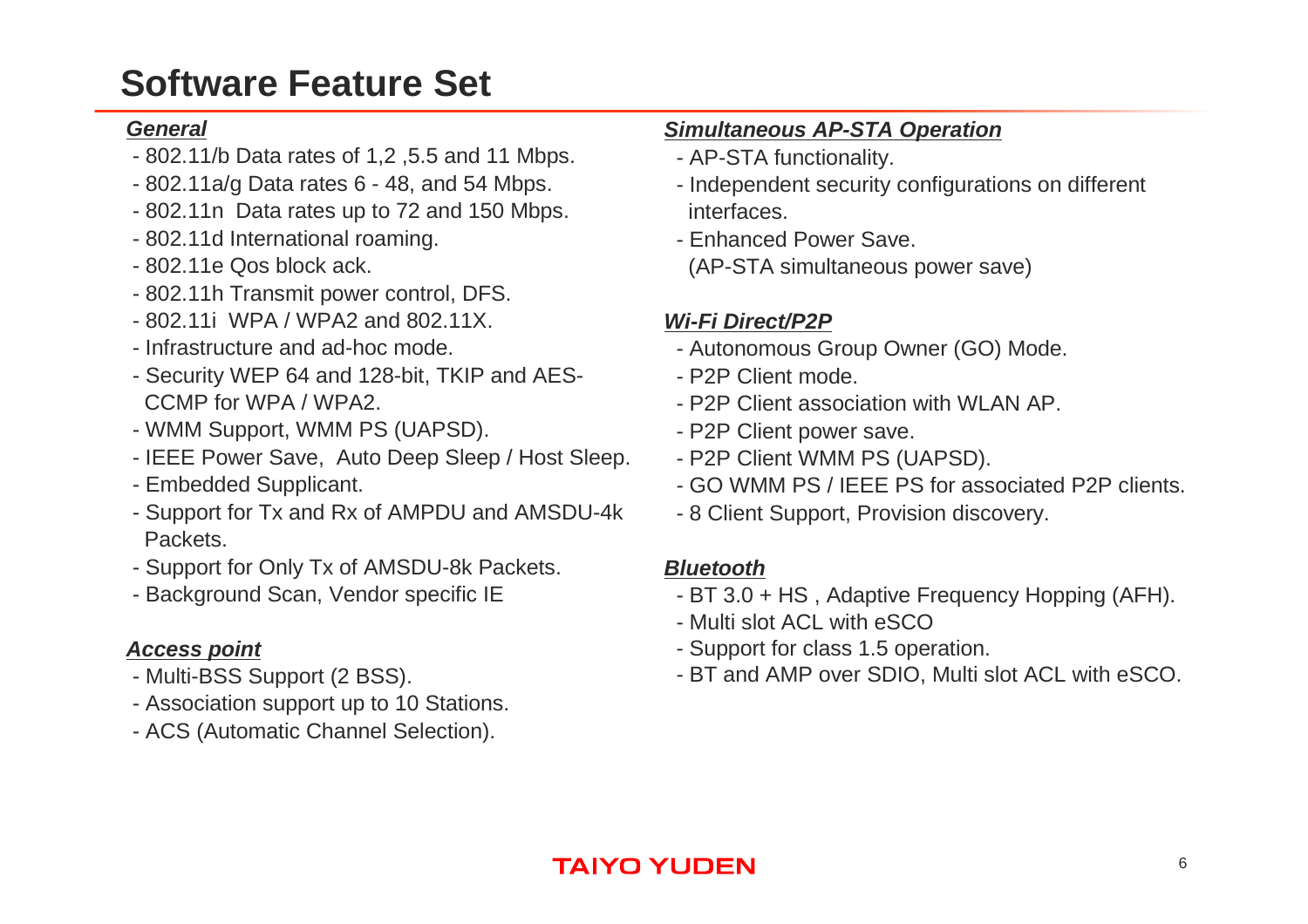### **Software Feature Set**

#### **General**

- 802.11/b Data rates of 1,2 ,5.5 and 11 Mbps.
- 802.11a/g Data rates 6 48, and 54 Mbps.
- 802.11n Data rates up to 72 and 150 Mbps.
- 802.11d International roaming.
- 802.11e Qos block ack.
- 802.11h Transmit power control, DFS.
- 802.11i WPA / WPA2 and 802.11X.
- Infrastructure and ad-hoc mode.
- Security WEP 64 and 128-bit, TKIP and AES-CCMP for WPA / WPA2.
- WMM Support, WMM PS (UAPSD).
- IEEE Power Save, Auto Deep Sleep / Host Sleep.
- Embedded Supplicant.
- Support for Tx and Rx of AMPDU and AMSDU-4kPackets.
- Support for Only Tx of AMSDU-8k Packets.
- Background Scan, Vendor specific IE

#### **Access point**

- Multi-BSS Support (2 BSS).
- Association support up to 10 Stations.
- ACS (Automatic Channel Selection).

#### **Simultaneous AP-STA Operation**

- AP-STA functionality.
- Independent security configurations on different **interfaces**
- Enhanced Power Save. (AP-STA simultaneous power save)

#### **Wi-Fi Direct/P2P**

- Autonomous Group Owner (GO) Mode.
- P2P Client mode.
- P2P Client association with WLAN AP.
- P2P Client power save.
- P2P Client WMM PS (UAPSD).
- GO WMM PS / IEEE PS for associated P2P clients.
- 8 Client Support, Provision discovery.

#### **Bluetooth**

- BT 3.0 + HS , Adaptive Frequency Hopping (AFH).
- Multi slot ACL with eSCO
- Support for class 1.5 operation.
- BT and AMP over SDIO, Multi slot ACL with eSCO.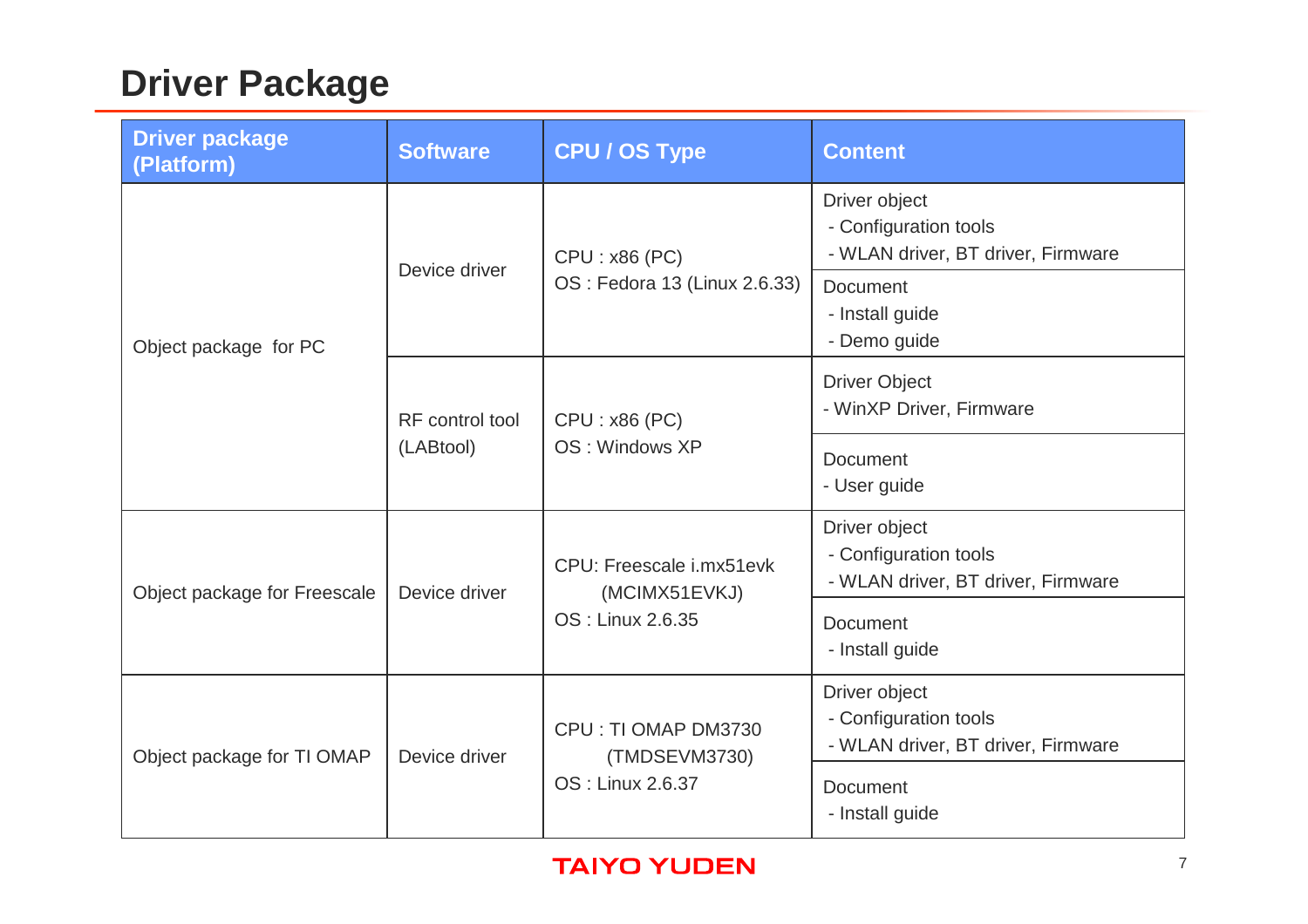## **Driver Package**

| <b>Driver package</b><br>(Platform) | <b>Software</b>              | <b>CPU / OS Type</b>                                          | <b>Content</b>                                                               |
|-------------------------------------|------------------------------|---------------------------------------------------------------|------------------------------------------------------------------------------|
|                                     | Device driver                | CPU: x86 (PC)<br>OS : Fedora 13 (Linux 2.6.33)                | Driver object<br>- Configuration tools<br>- WLAN driver, BT driver, Firmware |
| Object package for PC               |                              |                                                               | <b>Document</b><br>- Install guide<br>- Demo guide                           |
|                                     | RF control tool<br>(LABtool) | CPU: x86 (PC)<br>OS: Windows XP                               | <b>Driver Object</b><br>- WinXP Driver, Firmware                             |
|                                     |                              |                                                               | <b>Document</b><br>- User guide                                              |
| Object package for Freescale        | Device driver                | CPU: Freescale i.mx51evk<br>(MCIMX51EVKJ)<br>OS: Linux 2.6.35 | Driver object<br>- Configuration tools<br>- WLAN driver, BT driver, Firmware |
|                                     |                              |                                                               | <b>Document</b><br>- Install guide                                           |
| Object package for TI OMAP          | Device driver                | CPU: TI OMAP DM3730<br>(TMDSEVM3730)<br>OS: Linux 2.6.37      | Driver object<br>- Configuration tools<br>- WLAN driver, BT driver, Firmware |
|                                     |                              |                                                               | <b>Document</b><br>- Install guide                                           |